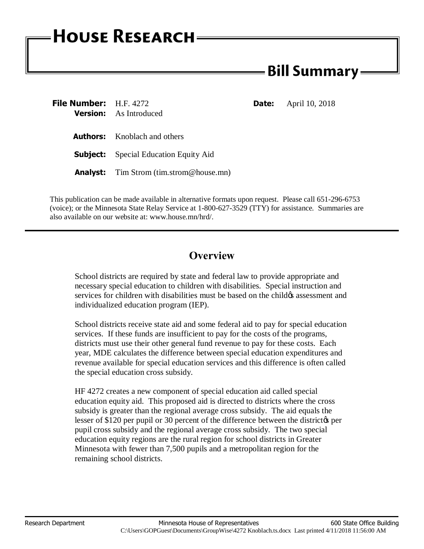## **HOUSE RESEARCH**

## **Bill Summary -**

| File Number: H.F. 4272 | <b>Version:</b> As Introduced                  | <b>Date:</b> | April 10, 2018 |
|------------------------|------------------------------------------------|--------------|----------------|
|                        | <b>Authors:</b> Knoblach and others            |              |                |
|                        | <b>Subject:</b> Special Education Equity Aid   |              |                |
|                        | <b>Analyst:</b> Tim Strom (tim.strom@house.mn) |              |                |

This publication can be made available in alternative formats upon request. Please call 651-296-6753 (voice); or the Minnesota State Relay Service at 1-800-627-3529 (TTY) for assistance. Summaries are also available on our website at: www.house.mn/hrd/.

## **Overview**

School districts are required by state and federal law to provide appropriate and necessary special education to children with disabilities. Special instruction and services for children with disabilities must be based on the child & assessment and individualized education program (IEP).

School districts receive state aid and some federal aid to pay for special education services. If these funds are insufficient to pay for the costs of the programs, districts must use their other general fund revenue to pay for these costs. Each year, MDE calculates the difference between special education expenditures and revenue available for special education services and this difference is often called the special education cross subsidy.

HF 4272 creates a new component of special education aid called special education equity aid. This proposed aid is directed to districts where the cross subsidy is greater than the regional average cross subsidy. The aid equals the lesser of \$120 per pupil or 30 percent of the difference between the district  $\phi$  per pupil cross subsidy and the regional average cross subsidy. The two special education equity regions are the rural region for school districts in Greater Minnesota with fewer than 7,500 pupils and a metropolitan region for the remaining school districts.